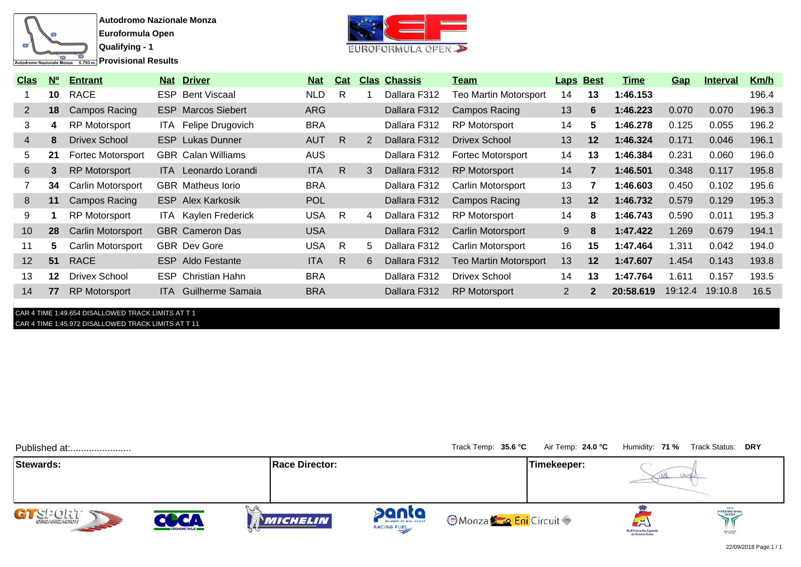

**Provisional Results** 



| <b>Clas</b>    | $N^{\circ}$ | <b>Entrant</b>           | <b>Nat Driver</b>           | <b>Nat</b> | Cat          |    | <b>Clas Chassis</b> | <u>Team</u>                  | <b>Laps Best</b>      |                | Time      | <u>Gap</u> | <b>Interval</b> | <u>Km/h</u> |
|----------------|-------------|--------------------------|-----------------------------|------------|--------------|----|---------------------|------------------------------|-----------------------|----------------|-----------|------------|-----------------|-------------|
|                | 10          | <b>RACE</b>              | <b>ESP</b> Bent Viscaal     | <b>NLD</b> | R            |    | Dallara F312        | <b>Teo Martin Motorsport</b> | 14                    | 13             | 1:46.153  |            |                 | 196.4       |
| $\mathbf{2}$   | 18          | Campos Racing            | <b>ESP</b> Marcos Siebert   | <b>ARG</b> |              |    | Dallara F312        | Campos Racing                | 13                    | 6              | 1:46.223  | 0.070      | 0.070           | 196.3       |
| 3              | 4           | <b>RP Motorsport</b>     | ITA Felipe Drugovich        | <b>BRA</b> |              |    | Dallara F312        | <b>RP Motorsport</b>         | 14                    | 5              | 1:46.278  | 0.125      | 0.055           | 196.2       |
| $\overline{4}$ | 8           | <b>Drivex School</b>     | <b>ESP</b> Lukas Dunner     | <b>AUT</b> | $\mathsf{R}$ | 2  | Dallara F312        | <b>Drivex School</b>         | 13                    | 12             | 1:46.324  | 0.171      | 0.046           | 196.1       |
| 5              | 21          | <b>Fortec Motorsport</b> | <b>GBR</b> Calan Williams   | <b>AUS</b> |              |    | Dallara F312        | Fortec Motorsport            | 14                    | 13             | 1:46.384  | 0.231      | 0.060           | 196.0       |
| 6              | 3.          | <b>RP Motorsport</b>     | <b>ITA</b> Leonardo Lorandi | <b>ITA</b> | R.           | 3  | Dallara F312        | <b>RP Motorsport</b>         | 14                    | $\overline{7}$ | 1:46.501  | 0.348      | 0.117           | 195.8       |
|                | 34          | Carlin Motorsport        | <b>GBR</b> Matheus lorio    | <b>BRA</b> |              |    | Dallara F312        | Carlin Motorsport            | 13                    |                | 1:46.603  | 0.450      | 0.102           | 195.6       |
| 8              | 11          | Campos Racing            | <b>ESP</b> Alex Karkosik    | <b>POL</b> |              |    | Dallara F312        | Campos Racing                | 13                    | 12             | 1:46.732  | 0.579      | 0.129           | 195.3       |
| 9              |             | <b>RP Motorsport</b>     | <b>ITA</b> Kaylen Frederick | <b>USA</b> | R.           | 4  | Dallara F312        | <b>RP Motorsport</b>         | 14                    | 8              | 1:46.743  | 0.590      | 0.011           | 195.3       |
| 10             | 28          | <b>Carlin Motorsport</b> | <b>GBR</b> Cameron Das      | <b>USA</b> |              |    | Dallara F312        | Carlin Motorsport            | 9                     | 8              | 1:47.422  | 1.269      | 0.679           | 194.1       |
| 11             | 5.          | Carlin Motorsport        | <b>GBR</b> Dev Gore         | <b>USA</b> | R.           | 5. | Dallara F312        | Carlin Motorsport            | 16                    | 15             | 1:47.464  | 1.311      | 0.042           | 194.0       |
| 12             | 51          | <b>RACE</b>              | <b>ESP</b> Aldo Festante    | <b>ITA</b> | R.           | 6  | Dallara F312        | <b>Teo Martin Motorsport</b> | 13                    | 12             | 1:47.607  | 1.454      | 0.143           | 193.8       |
| 13             | 12          | <b>Drivex School</b>     | <b>ESP</b> Christian Hahn   | <b>BRA</b> |              |    | Dallara F312        | <b>Drivex School</b>         | 14                    | 13             | 1:47.764  | 1.611      | 0.157           | 193.5       |
| 14             | 77          | <b>RP Motorsport</b>     | <b>ITA</b> Guilherme Samaia | <b>BRA</b> |              |    | Dallara F312        | <b>RP Motorsport</b>         | $\mathbf{2}^{\prime}$ | $\mathbf{2}$   | 20:58.619 | 19:12.4    | 19:10.8         | 16.5        |
|                |             |                          |                             |            |              |    |                     |                              |                       |                |           |            |                 |             |

## CAR 4 TIME 1:49.654 DISALLOWED TRACK LIMITS AT T 1 CAR 4 TIME 1:45.972 DISALLOWED TRACK LIMITS AT T 11

| Published at:             |                     |                       |                                             | Track Temp: 35.6 °C      | Air Temp: 24.0 °C |                               | Humidity: 71 % Track Status: DRY |
|---------------------------|---------------------|-----------------------|---------------------------------------------|--------------------------|-------------------|-------------------------------|----------------------------------|
| Stewards:                 |                     | <b>Race Director:</b> |                                             |                          | Timekeeper:       |                               |                                  |
| GT SEP OLIT<br><b>SEP</b> | <b>CRONOMETRAJE</b> | <b>MICHELIN</b>       | panta<br>MEMBER OF MOL GROUP<br>RACING FUEL | <b>Monza Eni</b> Circuit |                   | ▰<br>Real Federación Española | <b>INTERNATIONAL</b><br>SERIES   |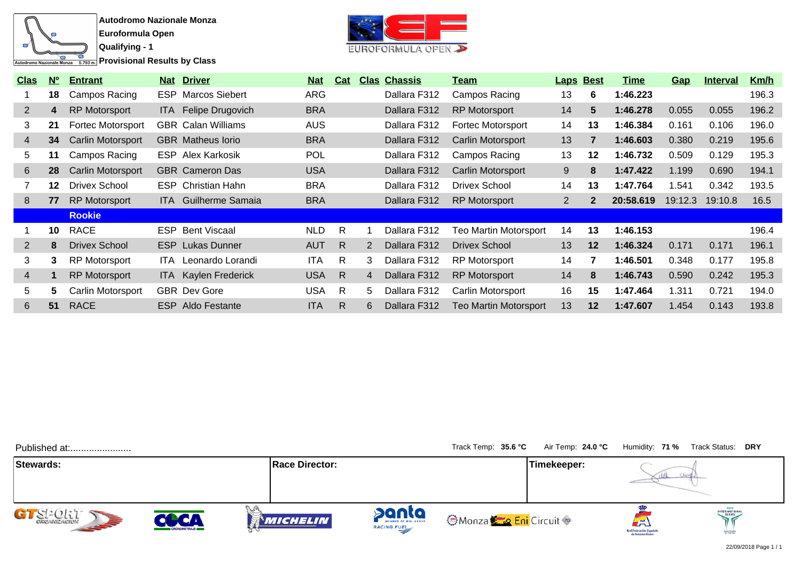

**Autodromo Nazionale Monza Euroformula Open**

**Provisional Results by Class** 

**Qualifying - 1**



| <b>Clas</b>    | N <sup>o</sup> | <b>Entrant</b>           |       | <b>Nat Driver</b>           | <u>Nat</u> | <b>Cat</b> |                | <b>Clas Chassis</b> | Team                         | <b>Laps Best</b> |              | Time      | <b>Gap</b> | <u>Interval</u> | <u>Km/h</u> |
|----------------|----------------|--------------------------|-------|-----------------------------|------------|------------|----------------|---------------------|------------------------------|------------------|--------------|-----------|------------|-----------------|-------------|
|                | 18             | Campos Racing            |       | <b>ESP</b> Marcos Siebert   | <b>ARG</b> |            |                | Dallara F312        | Campos Racing                | 13               | 6            | 1:46.223  |            |                 | 196.3       |
| $\overline{2}$ | 4              | <b>RP Motorsport</b>     |       | ITA Felipe Drugovich        | <b>BRA</b> |            |                | Dallara F312        | <b>RP Motorsport</b>         | 14               | 5            | 1:46.278  | 0.055      | 0.055           | 196.2       |
| 3              | 21             | <b>Fortec Motorsport</b> |       | <b>GBR</b> Calan Williams   | <b>AUS</b> |            |                | Dallara F312        | Fortec Motorsport            | 14               | 13           | 1:46.384  | 0.161      | 0.106           | 196.0       |
| $\overline{4}$ | 34             | Carlin Motorsport        |       | <b>GBR</b> Matheus lorio    | <b>BRA</b> |            |                | Dallara F312        | Carlin Motorsport            | 13               | 7            | 1:46.603  | 0.380      | 0.219           | 195.6       |
| 5              | 11             | Campos Racing            |       | <b>ESP</b> Alex Karkosik    | <b>POL</b> |            |                | Dallara F312        | Campos Racing                | 13               | 12           | 1:46.732  | 0.509      | 0.129           | 195.3       |
| 6              | 28             | Carlin Motorsport        |       | <b>GBR</b> Cameron Das      | <b>USA</b> |            |                | Dallara F312        | Carlin Motorsport            | 9                | 8            | 1:47.422  | 1.199      | 0.690           | 194.1       |
|                | 12             | <b>Drivex School</b>     |       | <b>ESP</b> Christian Hahn   | <b>BRA</b> |            |                | Dallara F312        | Drivex School                | 14               | 13           | 1:47.764  | 1.541      | 0.342           | 193.5       |
| 8              | 77             | <b>RP Motorsport</b>     |       | <b>ITA</b> Guilherme Samaia | <b>BRA</b> |            |                | Dallara F312        | <b>RP Motorsport</b>         | $\overline{2}$   | $\mathbf{2}$ | 20:58.619 | 19:12.3    | 19:10.8         | 16.5        |
|                |                | <b>Rookie</b>            |       |                             |            |            |                |                     |                              |                  |              |           |            |                 |             |
|                | 10             | <b>RACE</b>              |       | <b>ESP Bent Viscaal</b>     | <b>NLD</b> | R          |                | Dallara F312        | Teo Martin Motorsport        | 14               | 13           | 1:46.153  |            |                 | 196.4       |
| $\overline{2}$ | 8              | <b>Drivex School</b>     |       | <b>ESP</b> Lukas Dunner     | <b>AUT</b> | R          | 2              | Dallara F312        | <b>Drivex School</b>         | 13               | $12 \,$      | 1:46.324  | 0.171      | 0.171           | 196.1       |
| 3              | 3              | <b>RP Motorsport</b>     | ITA - | Leonardo Lorandi            | <b>ITA</b> | R          | 3              | Dallara F312        | <b>RP Motorsport</b>         | 14               | 7            | 1:46.501  | 0.348      | 0.177           | 195.8       |
| $\overline{4}$ |                | <b>RP Motorsport</b>     |       | <b>ITA</b> Kaylen Frederick | <b>USA</b> | R          | $\overline{4}$ | Dallara F312        | <b>RP Motorsport</b>         | 14               | 8            | 1:46.743  | 0.590      | 0.242           | 195.3       |
| 5              | 5.             | Carlin Motorsport        |       | <b>GBR</b> Dev Gore         | USA        | R          | 5.             | Dallara F312        | <b>Carlin Motorsport</b>     | 16               | 15           | 1:47.464  | 1.311      | 0.721           | 194.0       |
| 6              | 51             | <b>RACE</b>              |       | <b>ESP</b> Aldo Festante    | <b>ITA</b> | R.         | 6              | Dallara F312        | <b>Teo Martin Motorsport</b> | 13               | $12 \,$      | 1:47.607  | 1.454      | 0.143           | 193.8       |

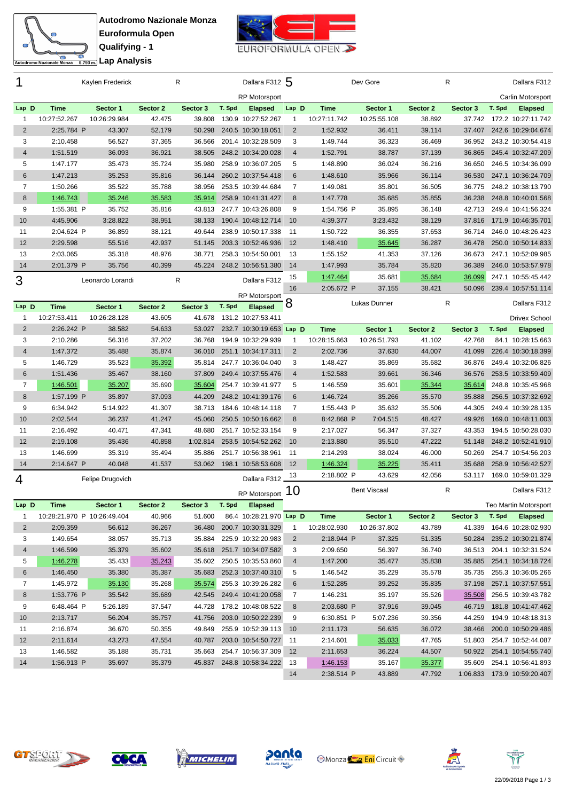



| 1              |              | Kaylen Frederick                        |                    | $\mathsf{R}$       |        | Dallara F312 5                            |                |              | Dev Gore            |          | R        |        | Dallara F312                 |
|----------------|--------------|-----------------------------------------|--------------------|--------------------|--------|-------------------------------------------|----------------|--------------|---------------------|----------|----------|--------|------------------------------|
|                |              |                                         |                    |                    |        | <b>RP Motorsport</b>                      |                |              |                     |          |          |        | Carlin Motorsport            |
| Lap D          | <b>Time</b>  | Sector 1                                | Sector 2           | Sector 3           | T. Spd | <b>Elapsed</b>                            | Lap D          | <b>Time</b>  | Sector 1            | Sector 2 | Sector 3 | T. Spd | <b>Elapsed</b>               |
| 1              | 10:27:52.267 | 10:26:29.984                            | 42.475             | 39.808             |        | 130.9 10:27:52.267                        | 1              | 10:27:11.742 | 10:25:55.108        | 38.892   | 37.742   |        | 172.2 10:27:11.742           |
| $\overline{2}$ | 2:25.784 P   | 43.307                                  | 52.179             | 50.298             |        | 240.5 10:30:18.051                        | $\overline{2}$ | 1:52.932     | 36.411              | 39.114   | 37.407   |        | 242.6 10:29:04.674           |
| 3              | 2:10.458     | 56.527                                  | 37.365             | 36.566             |        | 201.4 10:32:28.509                        | 3              | 1:49.744     | 36.323              | 36.469   | 36.952   |        | 243.2 10:30:54.418           |
| $\overline{4}$ | 1:51.519     | 36.093                                  | 36.921             | 38.505             |        | 248.2 10:34:20.028                        | $\overline{4}$ | 1:52.791     | 38.787              | 37.139   | 36.865   |        | 245.4 10:32:47.209           |
| 5              | 1:47.177     | 35.473                                  | 35.724             | 35.980             |        | 258.9 10:36:07.205                        | 5              | 1:48.890     | 36.024              | 36.216   | 36.650   |        | 246.5 10:34:36.099           |
| 6              | 1:47.213     | 35.253                                  | 35.816             | 36.144             |        | 260.2 10:37:54.418                        | 6              | 1:48.610     | 35.966              | 36.114   | 36.530   |        | 247.1 10:36:24.709           |
| $\overline{7}$ | 1:50.266     | 35.522                                  | 35.788             | 38.956             |        | 253.5 10:39:44.684                        | $\overline{7}$ | 1:49.081     | 35.801              | 36.505   | 36.775   |        | 248.2 10:38:13.790           |
| 8              | 1:46.743     | 35.246                                  | 35.583             | 35.914             |        | 258.9 10:41:31.427                        | 8              | 1:47.778     | 35.685              | 35.855   | 36.238   |        | 248.8 10:40:01.568           |
| 9              | 1:55.381 P   | 35.752                                  | 35.816             | 43.813             |        | 247.7 10:43:26.808                        | 9              | 1:54.756 P   | 35.895              | 36.148   | 42.713   |        | 249.4 10:41:56.324           |
| 10             | 4:45.906     | 3:28.822                                | 38.951             | 38.133             |        | 190.4 10:48:12.714                        | 10             | 4:39.377     | 3:23.432            | 38.129   | 37.816   |        | 171.9 10:46:35.701           |
| 11             | 2:04.624 P   | 36.859                                  | 38.121             | 49.644             |        | 238.9 10:50:17.338                        | -11            | 1:50.722     | 36.355              | 37.653   | 36.714   |        | 246.0 10:48:26.423           |
| 12             | 2:29.598     | 55.516                                  | 42.937             | 51.145             |        | 203.3 10:52:46.936                        | 12             | 1:48.410     | 35.645              | 36.287   | 36.478   |        | 250.0 10:50:14.833           |
| 13             | 2:03.065     | 35.318                                  | 48.976             | 38.771             |        | 258.3 10:54:50.001                        | 13             | 1:55.152     | 41.353              | 37.126   | 36.673   |        | 247.1 10:52:09.985           |
| 14             | 2:01.379 P   | 35.756                                  | 40.399             | 45.224             |        | 248.2 10:56:51.380                        | 14             | 1:47.993     | 35.784              | 35.820   | 36.389   |        | 246.0 10:53:57.978           |
| 3              |              | Leonardo Lorandi                        |                    | R                  |        | Dallara F312                              | 15             | 1:47.464     | 35.681              | 35.684   | 36.099   |        | 247.1 10:55:45.442           |
|                |              |                                         |                    |                    |        |                                           | 16             | 2:05.672 P   | 37.155              | 38.421   | 50.096   |        | 239.4 10:57:51.114           |
|                |              |                                         |                    |                    |        | <b>RP Motorsport</b>                      | 8              |              | Lukas Dunner        |          | R        |        | Dallara F312                 |
| Lap D          | <b>Time</b>  | Sector 1                                | Sector 2           | Sector 3           | T. Spd | <b>Elapsed</b>                            |                |              |                     |          |          |        |                              |
| 1              | 10:27:53.411 | 10:26:28.128                            | 43.605             | 41.678             |        | 131.2 10:27:53.411                        |                |              |                     |          |          |        | <b>Drivex School</b>         |
| $\overline{2}$ | 2:26.242 P   | 38.582                                  | 54.633             | 53.027             |        | 232.7 10:30:19.653 Lap D                  |                | <b>Time</b>  | Sector 1            | Sector 2 | Sector 3 | T. Spd | <b>Elapsed</b>               |
| 3              | 2:10.286     | 56.316                                  | 37.202             | 36.768             |        | 194.9 10:32:29.939                        | 1              | 10:28:15.663 | 10:26:51.793        | 41.102   | 42.768   |        | 84.1 10:28:15.663            |
| $\overline{4}$ | 1:47.372     | 35.488                                  | 35.874             | 36.010             |        | 251.1 10:34:17.311                        | 2              | 2:02.736     | 37.630              | 44.007   | 41.099   |        | 226.4 10:30:18.399           |
| 5              | 1:46.729     | 35.523                                  | 35.392             | 35.814             |        | 247.7 10:36:04.040                        | 3              | 1:48.427     | 35.869              | 35.682   | 36.876   |        | 249.4 10:32:06.826           |
| 6              | 1:51.436     | 35.467                                  | 38.160             | 37.809             |        | 249.4 10:37:55.476                        | $\overline{4}$ | 1:52.583     | 39.661              | 36.346   | 36.576   |        | 253.5 10:33:59.409           |
| $\overline{7}$ | 1:46.501     | 35.207                                  | 35.690             | 35.604             |        | 254.7 10:39:41.977                        | 5              | 1:46.559     | 35.601              | 35.344   | 35.614   |        | 248.8 10:35:45.968           |
| 8              | 1:57.199 P   | 35.897                                  | 37.093             | 44.209             |        | 248.2 10:41:39.176                        | 6              | 1:46.724     | 35.266              | 35.570   | 35.888   |        | 256.5 10:37:32.692           |
| 9              | 6:34.942     | 5:14.922                                | 41.307             | 38.713             |        | 184.6 10:48:14.118                        | $\overline{7}$ | 1:55.443 P   | 35.632              | 35.506   | 44.305   |        | 249.4 10:39:28.135           |
| 10             | 2:02.544     | 36.237                                  | 41.247             | 45.060             |        | 250.5 10:50:16.662                        | 8              | 8:42.868 P   | 7:04.515            | 48.427   | 49.926   |        | 169.0 10:48:11.003           |
| 11             | 2:16.492     | 40.471                                  | 47.341             | 48.680             |        | 251.7 10:52:33.154                        | 9              | 2:17.027     | 56.347              | 37.327   | 43.353   |        | 194.5 10:50:28.030           |
| 12             | 2:19.108     | 35.436                                  | 40.858             | 1:02.814           |        | 253.5 10:54:52.262                        | 10             | 2:13.880     | 35.510              | 47.222   | 51.148   |        | 248.2 10:52:41.910           |
| 13             | 1:46.699     | 35.319                                  | 35.494             | 35.886             |        | 251.7 10:56:38.961                        | 11             | 2:14.293     | 38.024              | 46.000   | 50.269   |        | 254.7 10:54:56.203           |
| 14             | 2:14.647 P   | 40.048                                  | 41.537             | 53.062             |        | 198.1 10:58:53.608                        | 12             | 1:46.324     | 35.225              | 35.411   | 35.688   |        | 258.9 10:56:42.527           |
| 4              |              | Felipe Drugovich                        |                    |                    |        | Dallara F312                              | 13             | 2:18.802 P   | 43.629              | 42.056   | 53.117   |        | 169.0 10:59:01.329           |
|                |              |                                         |                    |                    |        | RP Motorsport 10                          |                |              | <b>Bent Viscaal</b> |          | R        |        | Dallara F312                 |
|                |              |                                         |                    |                    |        |                                           |                |              |                     |          |          |        | <b>Teo Martin Motorsport</b> |
| Lap D<br>1     | Time         | Sector 1<br>10:28:21.970 P 10:26:49.404 | Sector 2<br>40.966 | Sector 3<br>51.600 | T. Spd | <b>Elapsed</b><br>86.4 10:28:21.970 Lap D |                | <b>Time</b>  | Sector 1            | Sector 2 | Sector 3 | T. Spd | <b>Elapsed</b>               |
| $\overline{2}$ | 2:09.359     | 56.612                                  | 36.267             | 36.480             |        | 200.7 10:30:31.329                        | 1              | 10:28:02.930 | 10:26:37.802        | 43.789   | 41.339   |        | 164.6 10:28:02.930           |
| 3              | 1:49.654     | 38.057                                  | 35.713             | 35.884             |        | 225.9 10:32:20.983                        | $\overline{2}$ | 2:18.944 P   | 37.325              | 51.335   |          |        | 50.284 235.2 10:30:21.874    |
| $\overline{4}$ | 1:46.599     | 35.379                                  | 35.602             | 35.618             |        | 251.7 10:34:07.582                        | 3              | 2:09.650     | 56.397              | 36.740   | 36.513   |        | 204.1 10:32:31.524           |
| 5              | 1:46.278     | 35.433                                  | 35.243             | 35.602             |        | 250.5 10:35:53.860                        | $\overline{4}$ | 1:47.200     | 35.477              | 35.838   | 35.885   |        | 254.1 10:34:18.724           |
| 6              |              | 35.380                                  | 35.387             | 35.683             |        | 252.3 10:37:40.310                        | 5              | 1:46.542     | 35.229              | 35.578   | 35.735   |        | 255.3 10:36:05.266           |
|                | 1:46.450     |                                         |                    |                    |        |                                           |                |              |                     |          |          |        | 257.1 10:37:57.551           |
| 7              | 1:45.972     | 35.130                                  | 35.268             | 35.574             |        | 255.3 10:39:26.282                        | 6              | 1:52.285     | 39.252              | 35.835   | 37.198   |        |                              |
| 8              | 1:53.776 P   | 35.542                                  | 35.689             | 42.545             |        | 249.4 10:41:20.058                        | 7              | 1:46.231     | 35.197              | 35.526   | 35.508   |        | 256.5 10:39:43.782           |
| 9              | 6:48.464 P   | 5:26.189                                | 37.547             | 44.728             |        | 178.2 10:48:08.522                        | 8              | 2:03.680 P   | 37.916              | 39.045   | 46.719   |        | 181.8 10:41:47.462           |
| 10             | 2:13.717     | 56.204                                  | 35.757             | 41.756             |        | 203.0 10:50:22.239                        | 9              | 6:30.851 P   | 5:07.236            | 39.356   | 44.259   |        | 194.9 10:48:18.313           |
| 11             | 2:16.874     | 36.670                                  | 50.355             | 49.849             |        | 255.9 10:52:39.113                        | 10             | 2:11.173     | 56.635              | 36.072   | 38.466   |        | 200.0 10:50:29.486           |
| 12             | 2:11.614     | 43.273                                  | 47.554             | 40.787             |        | 203.0 10:54:50.727                        | 11             | 2:14.601     | 35.033              | 47.765   | 51.803   |        | 254.7 10:52:44.087           |
| 13             | 1:46.582     | 35.188                                  | 35.731             | 35.663             |        | 254.7 10:56:37.309                        | 12             | 2:11.653     | 36.224              | 44.507   |          |        | 50.922 254.1 10:54:55.740    |
| 14             | 1:56.913 P   | 35.697                                  | 35.379             |                    |        | 45.837 248.8 10:58:34.222                 | 13             | 1:46.153     | 35.167              | 35.377   | 35.609   |        | 254.1 10:56:41.893           |
|                |              |                                         |                    |                    |        |                                           | 14             | 2:38.514 P   | 43.889              | 47.792   |          |        | 1:06.833 173.9 10:59:20.407  |









**WICHELIN** 

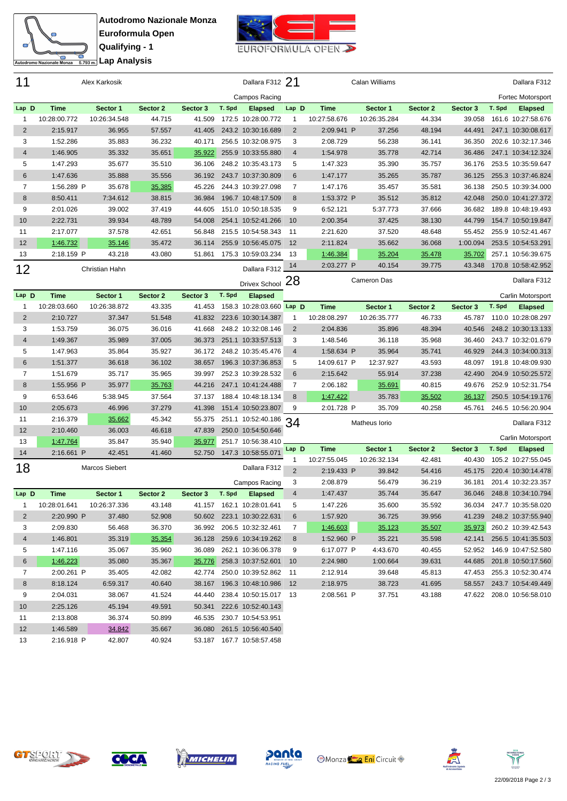



| 11             |              | Alex Karkosik         |          |               |        | Dallara F312 21          |                |              | Calan Williams |          |          |        | Dallara F312       |
|----------------|--------------|-----------------------|----------|---------------|--------|--------------------------|----------------|--------------|----------------|----------|----------|--------|--------------------|
|                |              |                       |          |               |        | Campos Racing            |                |              |                |          |          |        | Fortec Motorsport  |
| Lap D          | Time         | Sector 1              | Sector 2 | Sector 3      | T. Spd | <b>Elapsed</b>           | Lap D          | <b>Time</b>  | Sector 1       | Sector 2 | Sector 3 | T. Spd | <b>Elapsed</b>     |
| $\mathbf{1}$   | 10:28:00.772 | 10:26:34.548          | 44.715   | 41.509        |        | 172.5 10:28:00.772       | 1              | 10:27:58.676 | 10:26:35.284   | 44.334   | 39.058   |        | 161.6 10:27:58.676 |
| $\overline{2}$ | 2:15.917     | 36.955                | 57.557   | 41.405        |        | 243.2 10:30:16.689       | $\overline{2}$ | 2:09.941 P   | 37.256         | 48.194   | 44.491   |        | 247.1 10:30:08.617 |
| 3              | 1:52.286     | 35.883                | 36.232   | 40.171        |        | 256.5 10:32:08.975       | 3              | 2:08.729     | 56.238         | 36.141   | 36.350   |        | 202.6 10:32:17.346 |
| 4              | 1:46.905     | 35.332                | 35.651   | 35.922        |        | 255.9 10:33:55.880       | 4              | 1:54.978     | 35.778         | 42.714   | 36.486   |        | 247.1 10:34:12.324 |
| 5              | 1:47.293     | 35.677                | 35.510   | 36.106        |        | 248.2 10:35:43.173       | 5              | 1:47.323     | 35.390         | 35.757   | 36.176   |        | 253.5 10:35:59.647 |
| 6              | 1:47.636     | 35.888                | 35.556   | 36.192        |        | 243.7 10:37:30.809       | 6              | 1:47.177     | 35.265         | 35.787   | 36.125   |        | 255.3 10:37:46.824 |
| $\overline{7}$ | 1:56.289 P   | 35.678                | 35.385   | 45.226        |        | 244.3 10:39:27.098       | 7              | 1:47.176     | 35.457         | 35.581   | 36.138   |        | 250.5 10:39:34.000 |
| 8              | 8:50.411     | 7:34.612              | 38.815   | 36.984        |        | 196.7 10:48:17.509       | 8              | 1:53.372 P   | 35.512         | 35.812   | 42.048   |        | 250.0 10:41:27.372 |
| 9              | 2:01.026     | 39.002                | 37.419   | 44.605        |        | 151.0 10:50:18.535       | 9              | 6:52.121     | 5:37.773       | 37.666   | 36.682   |        | 189.8 10:48:19.493 |
| 10             | 2:22.731     | 39.934                | 48.789   | 54.008        |        | 254.1 10:52:41.266       | 10             | 2:00.354     | 37.425         | 38.130   | 44.799   |        | 154.7 10:50:19.847 |
| 11             | 2:17.077     | 37.578                | 42.651   | 56.848        |        | 215.5 10:54:58.343       | -11            | 2:21.620     | 37.520         | 48.648   | 55.452   |        | 255.9 10:52:41.467 |
| 12             | 1:46.732     | 35.146                | 35.472   | 36.114        |        | 255.9 10:56:45.075       | 12             | 2:11.824     | 35.662         | 36.068   | 1:00.094 |        | 253.5 10:54:53.291 |
| 13             | 2:18.159 P   | 43.218                | 43.080   | 51.861        |        | 175.3 10:59:03.234       | 13             | 1:46.384     | 35.204         | 35.478   | 35.702   |        | 257.1 10:56:39.675 |
| 12             |              | Christian Hahn        |          |               |        | Dallara F312             | 14             | 2:03.277 P   | 40.154         | 39.775   | 43.348   |        | 170.8 10:58:42.952 |
|                |              |                       |          |               |        | Drivex School 28         |                |              | Cameron Das    |          |          |        | Dallara F312       |
| Lap D          | <b>Time</b>  | Sector 1              | Sector 2 | Sector 3      | T. Spd | <b>Elapsed</b>           |                |              |                |          |          |        | Carlin Motorsport  |
| $\mathbf{1}$   | 10:28:03.660 | 10:26:38.872          | 43.335   | 41.453        |        | 158.3 10:28:03.660 Lap D |                | <b>Time</b>  | Sector 1       | Sector 2 | Sector 3 | T. Spd | <b>Elapsed</b>     |
| $\overline{2}$ | 2:10.727     | 37.347                | 51.548   | 41.832        |        | 223.6 10:30:14.387       | 1              | 10:28:08.297 | 10:26:35.777   | 46.733   | 45.787   |        | 110.0 10:28:08.297 |
| 3              | 1:53.759     | 36.075                | 36.016   | 41.668        |        | 248.2 10:32:08.146       | $\overline{2}$ | 2:04.836     | 35.896         | 48.394   | 40.546   |        | 248.2 10:30:13.133 |
| $\overline{4}$ | 1:49.367     | 35.989                | 37.005   | 36.373        |        | 251.1 10:33:57.513       | 3              | 1:48.546     | 36.118         | 35.968   | 36.460   |        | 243.7 10:32:01.679 |
| 5              | 1:47.963     | 35.864                | 35.927   | 36.172        |        | 248.2 10:35:45.476       | 4              | 1:58.634 P   | 35.964         | 35.741   | 46.929   |        | 244.3 10:34:00.313 |
| 6              | 1:51.377     | 36.618                | 36.102   | 38.657        |        | 196.3 10:37:36.853       | 5              | 14:09.617 P  | 12:37.927      | 43.593   | 48.097   |        | 191.8 10:48:09.930 |
| $\overline{7}$ | 1:51.679     | 35.717                | 35.965   | 39.997        |        | 252.3 10:39:28.532       | 6              | 2:15.642     | 55.914         | 37.238   | 42.490   |        | 204.9 10:50:25.572 |
| 8              | 1:55.956 P   | 35.977                | 35.763   | 44.216        |        | 247.1 10:41:24.488       | 7              | 2:06.182     | 35.691         | 40.815   | 49.676   |        | 252.9 10:52:31.754 |
| 9              | 6:53.646     | 5:38.945              | 37.564   | 37.137        |        | 188.4 10:48:18.134       | 8              | 1:47.422     | 35.783         | 35.502   | 36.137   |        | 250.5 10:54:19.176 |
| 10             | 2:05.673     | 46.996                | 37.279   | 41.398        |        | 151.4 10:50:23.807       | 9              | 2:01.728 P   | 35.709         | 40.258   | 45.761   |        | 246.5 10:56:20.904 |
| 11             | 2:16.379     | 35.662                | 45.342   | 55.375        |        | 251.1 10:52:40.186       |                |              |                |          |          |        |                    |
| 12             | 2:10.460     | 36.003                | 46.618   | 47.839        |        | 250.0 10:54:50.646       | 34             |              | Matheus Iorio  |          |          |        | Dallara F312       |
| 13             | 1:47.764     | 35.847                | 35.940   | 35.977        |        | 251.7 10:56:38.410       |                |              |                |          |          |        | Carlin Motorsport  |
| 14             | 2:16.661 P   | 42.451                | 41.460   | 52.750        |        | 147.3 10:58:55.071       | Lap D          | <b>Time</b>  | Sector 1       | Sector 2 | Sector 3 | T. Spd | <b>Elapsed</b>     |
|                |              |                       |          |               |        |                          | 1              | 10:27:55.045 | 10:26:32.134   | 42.481   | 40.430   |        | 105.2 10:27:55.045 |
| 18             |              | <b>Marcos Siebert</b> |          |               |        | Dallara F312             | $\overline{2}$ | 2:19.433 P   | 39.842         | 54.416   | 45.175   |        | 220.4 10:30:14.478 |
|                |              |                       |          |               |        | Campos Racing            | 3              | 2:08.879     | 56.479         | 36.219   | 36.181   |        | 201.4 10:32:23.357 |
| Lap D          | Time         | Sector 1              | Sector 2 | Sector 3      | T. Spd | <b>Elapsed</b>           | 4              | 1:47.437     | 35.744         | 35.647   | 36.046   |        | 248.8 10:34:10.794 |
| $\mathbf{1}$   | 10:28:01.641 | 10:26:37.336          | 43.148   |               |        |                          | 5              | 1:47.226     | 35.600         | 35.592   | 36.034   |        | 247.7 10:35:58.020 |
| $\overline{c}$ | 2:20.990 P   | 37.480                | 52.908   | 50.602        |        | 223.1 10:30:22.631       | 6              | 1:57.920     | 36.725         | 39.956   | 41.239   |        | 248.2 10:37:55.940 |
| 3              | 2:09.830     | 56.468                | 36.370   | 36.992        |        | 206.5 10:32:32.461       | 7              | 1:46.603     | 35.123         | 35.507   | 35.973   |        | 260.2 10:39:42.543 |
| 4              | 1:46.801     | 35.319                | 35.354   | 36.128        |        | 259.6 10:34:19.262       | 8              | 1:52.960 P   | 35.221         | 35.598   | 42.141   |        | 256.5 10:41:35.503 |
| 5              | 1:47.116     | 35.067                | 35.960   | 36.089        |        | 262.1 10:36:06.378       | 9              | 6:17.077 P   | 4:43.670       | 40.455   | 52.952   |        | 146.9 10:47:52.580 |
| 6              | 1:46.223     | 35.080                | 35.367   | <u>35.776</u> |        | 258.3 10:37:52.601       | 10             | 2:24.980     | 1:00.664       | 39.631   | 44.685   |        | 201.8 10:50:17.560 |
| 7              | 2:00.261 P   | 35.405                | 42.082   | 42.774        |        | 250.0 10:39:52.862       | 11             | 2:12.914     | 39.648         | 45.813   | 47.453   |        | 255.3 10:52:30.474 |
| 8              | 8:18.124     | 6:59.317              | 40.640   | 38.167        |        | 196.3 10:48:10.986 12    |                | 2:18.975     | 38.723         | 41.695   | 58.557   |        | 243.7 10:54:49.449 |
| 9              | 2:04.031     | 38.067                | 41.524   | 44.440        |        | 238.4 10:50:15.017 13    |                | 2:08.561 P   | 37.751         | 43.188   | 47.622   |        | 208.0 10:56:58.010 |
| 10             | 2:25.126     | 45.194                | 49.591   | 50.341        |        | 222.6 10:52:40.143       |                |              |                |          |          |        |                    |
| 11             | 2:13.808     | 36.374                | 50.899   | 46.535        |        | 230.7 10:54:53.951       |                |              |                |          |          |        |                    |
| 12             | 1:46.589     | 34.842                | 35.667   | 36.080        |        | 261.5 10:56:40.540       |                |              |                |          |          |        |                    |





2:16.918 P 42.807 40.924 53.187 167.7 10:58:57.458





**Monza Eni** Circuit



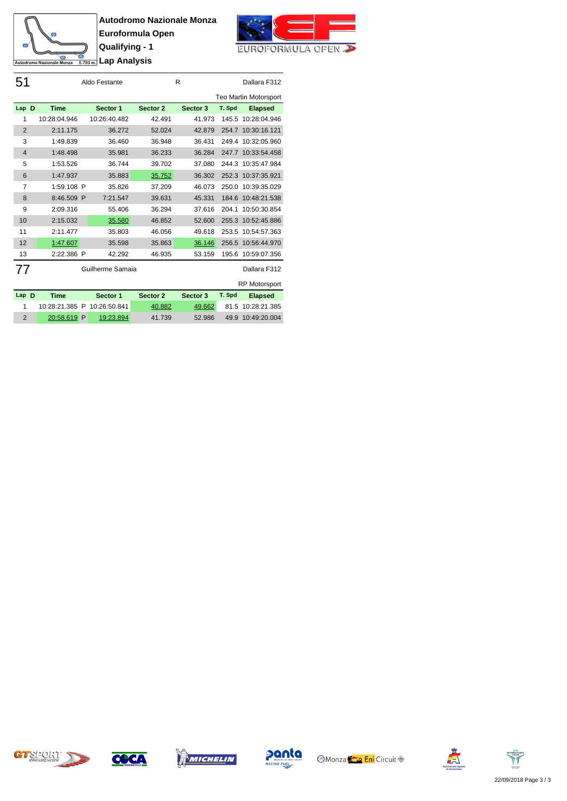



| 51             |              | Aldo Festante     |          | R        |        | Dallara F312          |
|----------------|--------------|-------------------|----------|----------|--------|-----------------------|
|                |              |                   |          |          |        | Teo Martin Motorsport |
| Lap D          | <b>Time</b>  | Sector 1          | Sector 2 | Sector 3 | T. Spd | <b>Elapsed</b>        |
| 1              | 10:28:04.946 | 10:26:40.482      | 42.491   | 41.973   | 145.5  | 10:28:04.946          |
| $\overline{2}$ | 2:11.175     | 36.272            | 52.024   | 42.879   |        | 254.7 10:30:16.121    |
| 3              | 1:49.839     | 36.460            | 36.948   | 36.431   |        | 249.4 10:32:05.960    |
| $\overline{4}$ | 1:48.498     | 35.981            | 36.233   | 36.284   | 247.7  | 10:33:54.458          |
| 5              | 1:53.526     | 36.744            | 39.702   | 37.080   | 244.3  | 10:35:47.984          |
| 6              | 1:47.937     | 35.883            | 35.752   | 36.302   |        | 252.3 10:37:35.921    |
| 7              | 1:59.108 P   | 35.826            | 37.209   | 46.073   | 250.0  | 10:39:35.029          |
| 8              | 8:46.509 P   | 7:21.547          | 39.631   | 45.331   | 184.6  | 10:48:21.538          |
| 9              | 2:09.316     | 55.406            | 36.294   | 37.616   | 204.1  | 10:50:30.854          |
| 10             | 2:15.032     | 35.580            | 46.852   | 52.600   | 255.3  | 10:52:45.886          |
| 11             | 2:11.477     | 35.803            | 46.056   | 49.618   | 253.5  | 10:54:57.363          |
| 12             | 1:47.607     | 35.598            | 35.863   | 36.146   | 256.5  | 10:56:44.970          |
| 13             | 2:22.386 P   | 42.292            | 46.935   | 53.159   | 195.6  | 10:59:07.356          |
| 77             |              | Guilherme Samaia  |          |          |        | Dallara F312          |
|                |              |                   |          |          |        | <b>RP Motorsport</b>  |
| Lap D          | <b>Time</b>  | Sector 1          | Sector 2 | Sector 3 | T. Spd | <b>Elapsed</b>        |
| 1              | 10:28:21.385 | P<br>10:26:50.841 | 40.882   | 49.662   | 81.5   | 10:28:21.385          |
| $\overline{2}$ | 20:58.619    | P<br>19:23.894    | 41.739   | 52.986   | 49.9   | 10:49:20.004          |









**Monza Eni** Circuit



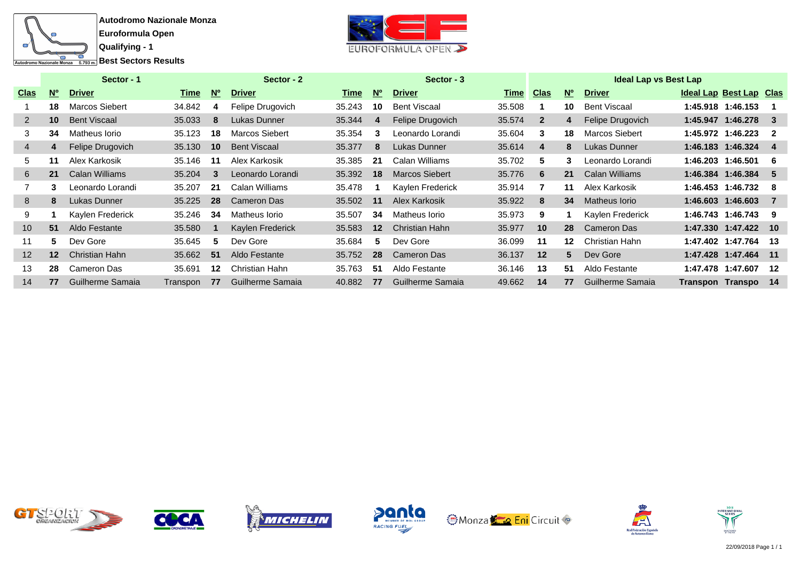



|             |           | Sector - 1            |          |                | Sector - 2          |        |           | Sector - 3            |           |              |                 | <b>Ideal Lap vs Best Lap</b> |                         |                |
|-------------|-----------|-----------------------|----------|----------------|---------------------|--------|-----------|-----------------------|-----------|--------------|-----------------|------------------------------|-------------------------|----------------|
| <u>Clas</u> | <b>No</b> | <b>Driver</b>         | Time     | N <sup>o</sup> | <b>Driver</b>       | Time   | <b>No</b> | <b>Driver</b>         | Time Clas |              | <b>No</b>       | <b>Driver</b>                | Ideal Lap Best Lap Clas |                |
|             | 18        | Marcos Siebert        | 34.842   | 4              | Felipe Drugovich    | 35.243 | 10        | <b>Bent Viscaal</b>   | 35.508    |              | 10              | Bent Viscaal                 | 1:45.918 1:46.153       |                |
|             | 10        | <b>Bent Viscaal</b>   | 35.033   | 8              | Lukas Dunner        | 35.344 | 4         | Felipe Drugovich      | 35.574    | $\mathbf{2}$ | 4               | Felipe Drugovich             | 1:45.947 1:46.278       |                |
| 3           | 34        | Matheus Iorio         | 35.123   | 18             | Marcos Siebert      | 35.354 | 3         | Leonardo Lorandi      | 35.604    | 3            | 18              | Marcos Siebert               | 1:45.972 1:46.223       | $\overline{2}$ |
| 4           |           | Felipe Drugovich      | 35.130   | 10             | <b>Bent Viscaal</b> | 35.377 | 8         | Lukas Dunner          | 35.614    | 4            | 8               | Lukas Dunner                 | 1:46.183 1:46.324       | -4             |
| 5.          | 11        | Alex Karkosik         | 35.146   | -11            | Alex Karkosik       | 35.385 | 21        | Calan Williams        | 35.702    | 5.           | 3               | Leonardo Lorandi             | 1:46.203 1:46.501       | -6             |
| 6           | 21        | <b>Calan Williams</b> | 35.204   | 3              | Leonardo Lorandi    | 35.392 | 18        | <b>Marcos Siebert</b> | 35.776    | 6            | 21              | <b>Calan Williams</b>        | 1:46.384 1:46.384       | -5             |
|             | 3         | Leonardo Lorandi      | 35.207   | 21             | Calan Williams      | 35.478 |           | Kaylen Frederick      | 35.914    |              | 11              | Alex Karkosik                | 1:46.453 1:46.732       | -8             |
| 8           | 8         | Lukas Dunner          | 35.225   | 28             | <b>Cameron Das</b>  | 35.502 | 11        | Alex Karkosik         | 35.922    | 8            | 34              | <b>Matheus lorio</b>         | 1:46.603 1:46.603       | -7             |
| 9           |           | Kaylen Frederick      | 35.246   | 34             | Matheus Iorio       | 35.507 | 34        | Matheus Iorio         | 35.973    | 9            |                 | Kaylen Frederick             | 1:46.743 1:46.743       | 9              |
| 10          | 51        | Aldo Festante         | 35.580   |                | Kaylen Frederick    | 35.583 | $12 \,$   | Christian Hahn        | 35.977    | 10           | 28              | Cameron Das                  | 1:47.330 1:47.422 10    |                |
| 11          | 5.        | Dev Gore              | 35.645   | 5              | Dev Gore            | 35.684 | 5         | Dev Gore              | 36.099    | 11           | 12 <sup>2</sup> | Christian Hahn               | 1:47.402 1:47.764       | -13            |
| 12          | $12 \,$   | Christian Hahn        | 35.662   | 51             | Aldo Festante       | 35.752 | 28        | Cameron Das           | 36.137    | 12           | 5               | Dev Gore                     | 1:47.428 1:47.464       | $-11$          |
| 13          | 28        | Cameron Das           | 35.691   | $12 \,$        | Christian Hahn      | 35.763 | 51        | Aldo Festante         | 36.146    | 13           | 51              | Aldo Festante                | 1:47.478 1:47.607       | 12             |
| 14          | 77        | Guilherme Samaia      | Transpon | 77             | Guilherme Samaia    | 40.882 | 77        | Guilherme Samaia      | 49.662    | 14           | 77              | Guilherme Samaia             | Transpon Transpo        | - 14           |





der











**der**

**nder**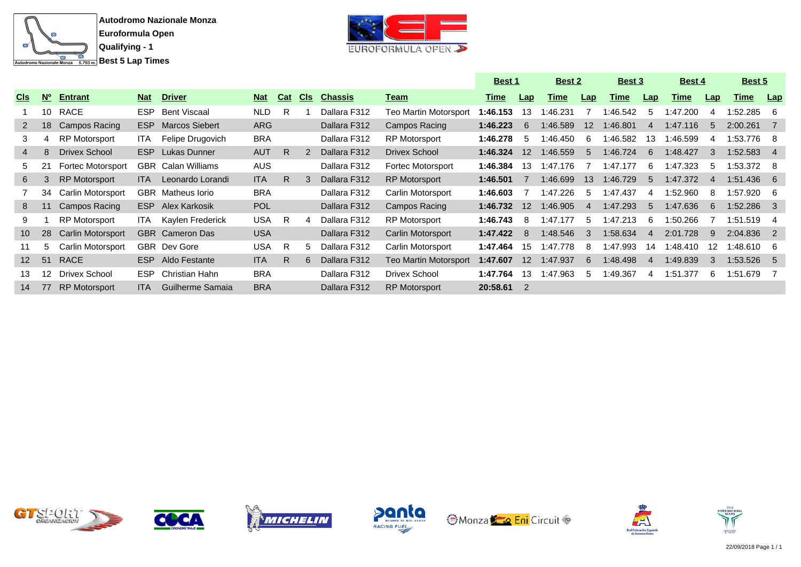



|                 |             |                          |            |                           |            |            |               |                |                              | <u>Best 1</u> |                   | <b>Best 2</b> |                   | Best 3      |             | Best 4      |     | <u>Best 5</u> |                |
|-----------------|-------------|--------------------------|------------|---------------------------|------------|------------|---------------|----------------|------------------------------|---------------|-------------------|---------------|-------------------|-------------|-------------|-------------|-----|---------------|----------------|
| <u>Cls</u>      | $N^{\circ}$ | <b>Entrant</b>           | <b>Nat</b> | <b>Driver</b>             | <b>Nat</b> | <b>Cat</b> | <b>CIS</b>    | <b>Chassis</b> | <u>Team</u>                  | <u>Time</u>   | Lap               | Time          | Lap               | <u>Time</u> | Lap         | <u>Time</u> | Lap | <u>Time</u>   | Lap            |
|                 | 10          | RACE                     | ESP.       | <b>Bent Viscaal</b>       | <b>NLD</b> | R          |               | Dallara F312   | <b>Teo Martin Motorsport</b> | 1:46.153      | 13                | :46.231       |                   | :46.542     | 5           | 1:47.200    | 4   | 1:52.285      | - 6            |
| 2               | 18          | Campos Racing            | ESP        | <b>Marcos Siebert</b>     | <b>ARG</b> |            |               | Dallara F312   | Campos Racing                | 1:46.223      | 6                 | 1:46.589      | $12 \overline{ }$ | 1:46.801    | 4           | 1:47.116    | 5   | 2:00.261      | $\overline{7}$ |
| 3               | 4           | <b>RP Motorsport</b>     | ITA.       | Felipe Drugovich          | <b>BRA</b> |            |               | Dallara F312   | RP Motorsport                | 1:46.278      | 5                 | 1:46.450      | 6                 | :46.582     | 13          | 1:46.599    | 4   | 1:53.776      | - 8            |
| 4               | 8           | Drivex School            | ESP.       | Lukas Dunner              | <b>AUT</b> | R          | $\mathcal{P}$ | Dallara F312   | <b>Drivex School</b>         | 1:46.324      | $12 \overline{ }$ | 1:46.559      | 5                 | 1:46.724    | 6           | 1:48.427    | 3   | 1:52.583      | $\overline{4}$ |
| 5.              | 21          | <b>Fortec Motorsport</b> |            | <b>GBR</b> Calan Williams | <b>AUS</b> |            |               | Dallara F312   | Fortec Motorsport            | 1:46.384      | 13                | 1:47.176      |                   | 1:47.177    | 6           | 1:47.323    | 5   | 1:53.372 8    |                |
| 6               | 3           | <b>RP Motorsport</b>     | ITA.       | Leonardo Lorandi          | <b>ITA</b> | R.         | 3             | Dallara F312   | <b>RP Motorsport</b>         | 1:46.501      |                   | 1:46.699      | 13                | 1:46.729    | $5^{\circ}$ | 1:47.372    | 4   | 1:51.436 6    |                |
|                 | 34          | Carlin Motorsport        |            | <b>GBR</b> Matheus lorio  | <b>BRA</b> |            |               | Dallara F312   | Carlin Motorsport            | 1:46.603      |                   | 1:47.226      | 5                 | 1:47.437    | 4           | 1:52.960    | 8   | 1:57.920      | - 6            |
| 8               | 11          | Campos Racing            | ESP.       | Alex Karkosik             | <b>POL</b> |            |               | Dallara F312   | Campos Racing                | 1:46.732      | 12                | 1:46.905      | 4                 | 1:47.293    | 5           | 1:47.636    | 6   | $1:52.286$ 3  |                |
| 9               |             | <b>RP Motorsport</b>     | ITA.       | Kaylen Frederick          | <b>USA</b> | R          | 4             | Dallara F312   | RP Motorsport                | 1:46.743      | -8                | 1:47.177      | 5                 | 1:47.213    | -6          | 1:50.266    | -7  | 1:51.519      | - 4            |
| 10 <sup>°</sup> | 28          | <b>Carlin Motorsport</b> |            | <b>GBR</b> Cameron Das    | <b>USA</b> |            |               | Dallara F312   | Carlin Motorsport            | 1:47.422      | -8                | 1:48.546      | 3                 | 1:58.634    | 4           | 2:01.728    | 9   | 2:04.836 2    |                |
| 11              | 5           | Carlin Motorsport        |            | <b>GBR</b> Dev Gore       | <b>USA</b> | R          | 5             | Dallara F312   | Carlin Motorsport            | 1:47.464      | 15                | :47.778       | 8                 | :47.993     | 14          | :48.410     | 12  | 1:48.610      | -6             |
| 12 <sup>2</sup> | 51          | <b>RACE</b>              |            | ESP Aldo Festante         | <b>ITA</b> | R          | 6             | Dallara F312   | <b>Teo Martin Motorsport</b> | 1:47.607      | $12 \overline{ }$ | 1:47.937      | 6                 | 1:48.498    | 4           | 1:49.839    | 3   | 1:53.526      | $-5$           |
| 13              | 12.         | Drivex School            | ESP.       | Christian Hahn            | <b>BRA</b> |            |               | Dallara F312   | Drivex School                | 1:47.764      | 13                | 1:47.963      | 5                 | :49.367     | 4           | 1:51.377    | 6   | 1:51.679      |                |
| 14              | 77          | <b>RP Motorsport</b>     | <b>ITA</b> | Guilherme Samaia          | <b>BRA</b> |            |               | Dallara F312   | <b>RP Motorsport</b>         | 20:58.61      |                   |               |                   |             |             |             |     |               |                |













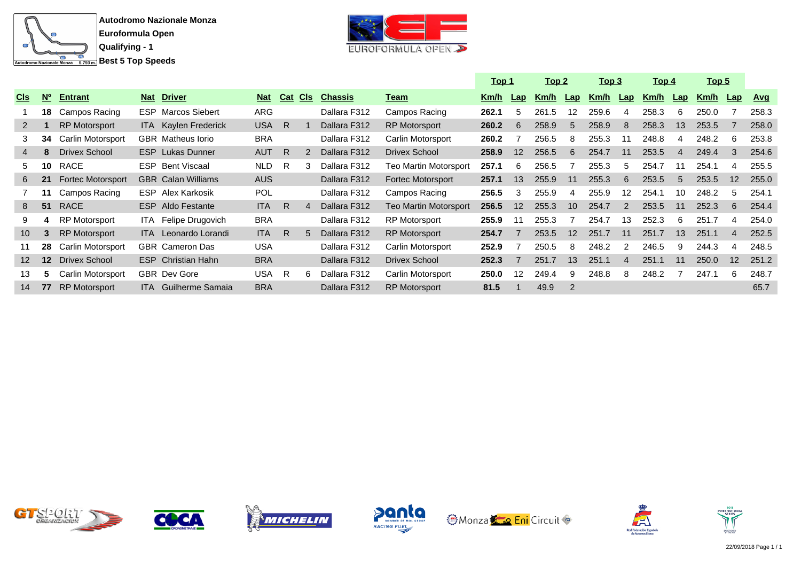



|                 |                 |                          |            |                             |            |            |            |                |                          | <u> Top 1</u> |                 | <u> Top 2</u> |                   | <u>Top 3</u> |                | <u>Top 4</u> |                | <u>Top 5</u> |                   |            |
|-----------------|-----------------|--------------------------|------------|-----------------------------|------------|------------|------------|----------------|--------------------------|---------------|-----------------|---------------|-------------------|--------------|----------------|--------------|----------------|--------------|-------------------|------------|
| <b>CIS</b>      | $N^{\circ}$     | <b>Entrant</b>           | <b>Nat</b> | <b>Driver</b>               | <b>Nat</b> | <b>Cat</b> | <u>CIs</u> | <b>Chassis</b> | <u>Team</u>              | Km/h          | Lap             | Km/h          | Lap               | Km/h         | $\mathsf{Lap}$ | Km/h         | $\mathbf{Lap}$ | Km/h         | $\mathsf{Lap}$    | <u>Avg</u> |
|                 | 18              | Campos Racing            |            | <b>ESP</b> Marcos Siebert   | <b>ARG</b> |            |            | Dallara F312   | Campos Racing            | 262.1         | 5               | 261.5         | $12 \overline{ }$ | 259.6        | 4              | 258.3        | 6              | 250.0        |                   | 258.3      |
| $2^{\circ}$     |                 | <b>RP Motorsport</b>     |            | <b>ITA</b> Kaylen Frederick | <b>USA</b> | R          |            | Dallara F312   | <b>RP Motorsport</b>     | 260.2         | 6               | 258.9         | 5                 | 258.9        | 8              | 258.3        | 13             | 253.5        |                   | 258.0      |
| 3               | 34              | Carlin Motorsport        |            | GBR Matheus lorio           | <b>BRA</b> |            |            | Dallara F312   | Carlin Motorsport        | 260.2         |                 | 256.5         | 8                 | 255.3        | 11             | 248.8        | 4              | 248.2        | -6                | 253.8      |
| 4               | 8               | Drivex School            |            | <b>ESP</b> Lukas Dunner     | <b>AUT</b> | - R        |            | Dallara F312   | <b>Drivex School</b>     | 258.9         | 12              | 256.5         | 6                 | 254.7        | 11             | 253.5        | $\overline{4}$ | 249.4        | -3                | 254.6      |
| 5.              | 10              | RACE                     |            | <b>ESP</b> Bent Viscaal     | <b>NLD</b> | -R         |            | Dallara F312   | Teo Martin Motorsport    | 257.1         | 6               | 256.5         |                   | 255.3        | 5              | 254.7        | 11             | 254.1        |                   | 255.5      |
| 6               | 21              | <b>Fortec Motorsport</b> |            | <b>GBR</b> Calan Williams   | <b>AUS</b> |            |            | Dallara F312   | <b>Fortec Motorsport</b> | 257.1         | 13              | 255.9         | 11                | 255.3        | 6              | 253.5        | $5^{\circ}$    | 253.5        | $12 \overline{ }$ | 255.0      |
|                 | 11              | Campos Racing            |            | <b>ESP</b> Alex Karkosik    | <b>POL</b> |            |            | Dallara F312   | Campos Racing            | 256.5         | 3               | 255.9         | 4                 | 255.9        | 12             | 254.1        | 10             | 248.2        | -5                | 254.1      |
| 8               | 51              | <b>RACE</b>              |            | <b>ESP</b> Aldo Festante    | <b>ITA</b> | R          |            | Dallara F312   | Teo Martin Motorsport    | 256.5         | 12 <sup>°</sup> | 255.3         | 10                | 254.7        | $\mathcal{P}$  | 253.5        | 11             | 252.3        | 6                 | 254.4      |
| 9               | 4               | <b>RP Motorsport</b>     |            | ITA Felipe Drugovich        | <b>BRA</b> |            |            | Dallara F312   | <b>RP Motorsport</b>     | 255.9         | 11              | 255.3         |                   | 254.7        | 13             | 252.3        | 6              | 251.7        |                   | 254.0      |
| 10 <sup>°</sup> | 3               | <b>RP Motorsport</b>     |            | <b>ITA</b> Leonardo Lorandi | <b>ITA</b> | R          |            | Dallara F312   | <b>RP Motorsport</b>     | 254.7         |                 | 253.5         | 12                | 251.7        | 11             | 251.7        | 13             | 251.1        | $\overline{4}$    | 252.5      |
|                 | 28              | Carlin Motorsport        |            | <b>GBR</b> Cameron Das      | <b>USA</b> |            |            | Dallara F312   | Carlin Motorsport        | 252.9         |                 | 250.5         | 8                 | 248.2        | $\mathcal{P}$  | 246.5        | 9              | 244.3        |                   | 248.5      |
| 12 <sup>1</sup> | 12 <sup>2</sup> | Drivex School            |            | <b>ESP</b> Christian Hahn   | <b>BRA</b> |            |            | Dallara F312   | <b>Drivex School</b>     | 252.3         |                 | 251.7         | 13                | 251.1        | $\overline{4}$ | 251.1        | 11             | 250.0        | 12                | 251.2      |
| 13              | 5               | Carlin Motorsport        |            | <b>GBR</b> Dev Gore         | <b>USA</b> | - R        |            | Dallara F312   | Carlin Motorsport        | 250.0         | 12              | 249.4         | 9                 | 248.8        | 8              | 248.2        |                | 247.1        | 6                 | 248.7      |
| 14              | 77              | <b>RP</b> Motorsport     |            | <b>ITA</b> Guilherme Samaia | <b>BRA</b> |            |            | Dallara F312   | <b>RP Motorsport</b>     | 81.5          |                 | 49.9          | 2                 |              |                |              |                |              |                   | 65.7       |













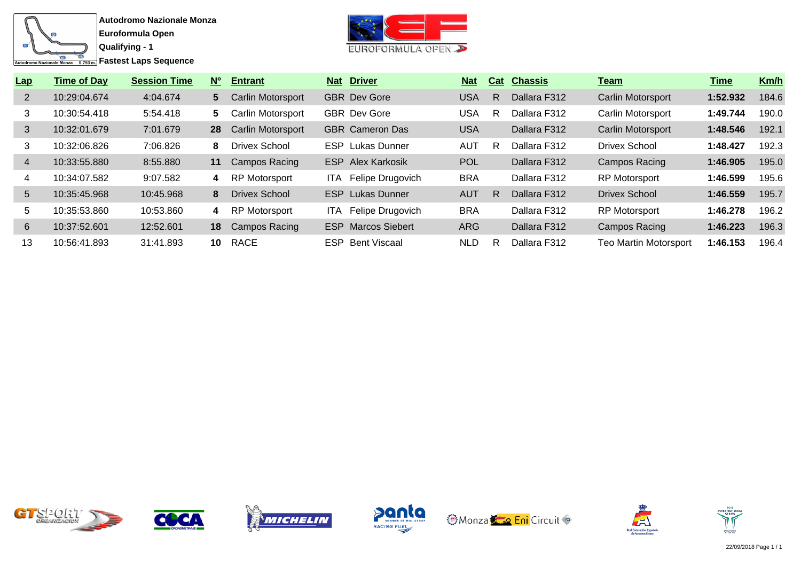

**Fastest Laps Sequence** 



| Lap             | <b>Time of Day</b> | <b>Session Time</b> | <b>No</b> | <b>Entrant</b>           | Nat   | <b>Driver</b>             | <b>Nat</b> | Cat | <b>Chassis</b> | <u>Team</u>                  | Time     | Km/h  |
|-----------------|--------------------|---------------------|-----------|--------------------------|-------|---------------------------|------------|-----|----------------|------------------------------|----------|-------|
| $\overline{2}$  | 10:29:04.674       | 4:04.674            | 5         | Carlin Motorsport        |       | <b>GBR</b> Dev Gore       | <b>USA</b> | R   | Dallara F312   | Carlin Motorsport            | 1:52.932 | 184.6 |
| 3               | 10:30:54.418       | 5:54.418            | 5.        | <b>Carlin Motorsport</b> |       | <b>GBR</b> Dev Gore       | <b>USA</b> | R   | Dallara F312   | Carlin Motorsport            | 1:49.744 | 190.0 |
| 3               | 10:32:01.679       | 7:01.679            | 28        | <b>Carlin Motorsport</b> |       | <b>GBR</b> Cameron Das    | <b>USA</b> |     | Dallara F312   | <b>Carlin Motorsport</b>     | 1:48.546 | 192.1 |
| 3               | 10:32:06.826       | 7:06.826            | 8         | <b>Drivex School</b>     |       | <b>ESP</b> Lukas Dunner   | <b>AUT</b> | R   | Dallara F312   | Drivex School                | 1:48.427 | 192.3 |
| $\overline{4}$  | 10:33:55.880       | 8:55.880            | 11        | <b>Campos Racing</b>     |       | <b>ESP</b> Alex Karkosik  | <b>POL</b> |     | Dallara F312   | <b>Campos Racing</b>         | 1:46.905 | 195.0 |
| 4               | 10:34:07.582       | 9:07.582            | 4         | <b>RP Motorsport</b>     | ITA.  | Felipe Drugovich          | <b>BRA</b> |     | Dallara F312   | <b>RP Motorsport</b>         | 1:46.599 | 195.6 |
| $5\overline{)}$ | 10:35:45.968       | 10:45.968           | 8         | <b>Drivex School</b>     | ESP.  | Lukas Dunner              | <b>AUT</b> | R   | Dallara F312   | <b>Drivex School</b>         | 1:46.559 | 195.7 |
| 5               | 10:35:53.860       | 10:53.860           | 4         | RP Motorsport            | ITA I | Felipe Drugovich          | <b>BRA</b> |     | Dallara F312   | <b>RP Motorsport</b>         | 1:46.278 | 196.2 |
| 6               | 10:37:52.601       | 12:52.601           | 18        | <b>Campos Racing</b>     |       | <b>ESP</b> Marcos Siebert | ARG        |     | Dallara F312   | Campos Racing                | 1:46.223 | 196.3 |
| 13              | 10:56:41.893       | 31:41.893           | 10        | RACE                     |       | <b>ESP</b> Bent Viscaal   | <b>NLD</b> | R   | Dallara F312   | <b>Teo Martin Motorsport</b> | 1:46.153 | 196.4 |













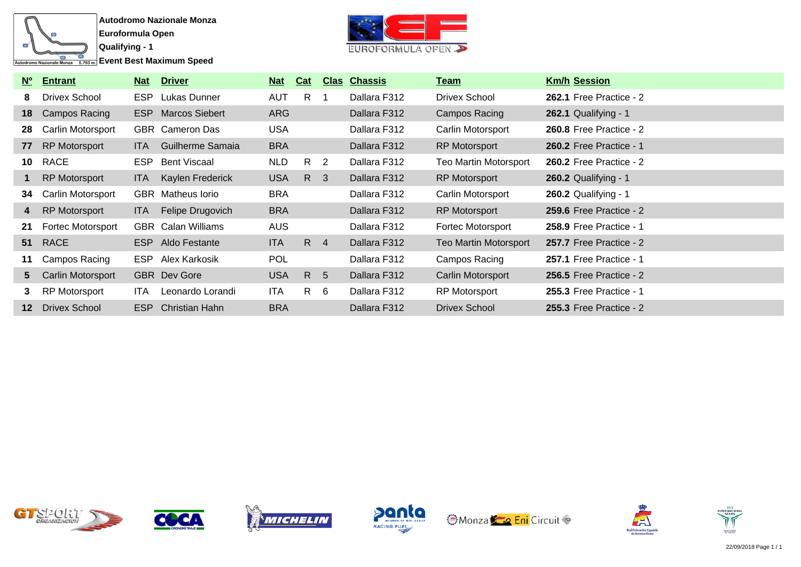

**Event Best Maximum Speed** 



| <b>No</b>       | <b>Entrant</b>           | <u>Nat</u> | <b>Driver</b>             | <u>Nat</u> | Cat            | <u>Clas</u>             | <b>Chassis</b> | <u>Team</u>                  | <b>Km/h Session</b>            |
|-----------------|--------------------------|------------|---------------------------|------------|----------------|-------------------------|----------------|------------------------------|--------------------------------|
| 8.              | <b>Drivex School</b>     | ESP.       | Lukas Dunner              | <b>AUT</b> | R.             |                         | Dallara F312   | Drivex School                | 262.1 Free Practice - 2        |
| 18              | Campos Racing            |            | <b>ESP</b> Marcos Siebert | ARG        |                |                         | Dallara F312   | Campos Racing                | 262.1 Qualifying - 1           |
| 28              | Carlin Motorsport        |            | GBR Cameron Das           | <b>USA</b> |                |                         | Dallara F312   | Carlin Motorsport            | 260.8 Free Practice - 2        |
| 77              | <b>RP Motorsport</b>     | ITA.       | Guilherme Samaia          | <b>BRA</b> |                |                         | Dallara F312   | <b>RP Motorsport</b>         | <b>260.2 Free Practice - 1</b> |
| 10              | RACE                     |            | ESP Bent Viscaal          | <b>NLD</b> | R <sub>2</sub> |                         | Dallara F312   | <b>Teo Martin Motorsport</b> | <b>260.2 Free Practice - 2</b> |
|                 | RP Motorsport            | ITA.       | Kaylen Frederick          | <b>USA</b> | R              | $\overline{\mathbf{3}}$ | Dallara F312   | RP Motorsport                | 260.2 Qualifying - 1           |
| 34              | Carlin Motorsport        |            | <b>GBR</b> Matheus lorio  | <b>BRA</b> |                |                         | Dallara F312   | Carlin Motorsport            | <b>260.2 Qualifying - 1</b>    |
| 4               | <b>RP Motorsport</b>     | ITA.       | Felipe Drugovich          | <b>BRA</b> |                |                         | Dallara F312   | <b>RP Motorsport</b>         | 259.6 Free Practice - 2        |
| 21              | <b>Fortec Motorsport</b> |            | <b>GBR</b> Calan Williams | <b>AUS</b> |                |                         | Dallara F312   | Fortec Motorsport            | <b>258.9 Free Practice - 1</b> |
|                 | 51 RACE                  |            | ESP Aldo Festante         | <b>ITA</b> | $R$ 4          |                         | Dallara F312   | <b>Teo Martin Motorsport</b> | 257.7 Free Practice - 2        |
| 11              | Campos Racing            |            | ESP Alex Karkosik         | <b>POL</b> |                |                         | Dallara F312   | Campos Racing                | <b>257.1 Free Practice - 1</b> |
| 5               | Carlin Motorsport        |            | <b>GBR</b> Dev Gore       | <b>USA</b> | R 5            |                         | Dallara F312   | Carlin Motorsport            | <b>256.5 Free Practice - 2</b> |
|                 | RP Motorsport            | ITA.       | Leonardo Lorandi          | <b>ITA</b> | $R \quad 6$    |                         | Dallara F312   | <b>RP Motorsport</b>         | <b>255.3 Free Practice - 1</b> |
| 12 <sup>1</sup> | Drivex School            | ESP        | <b>Christian Hahn</b>     | <b>BRA</b> |                |                         | Dallara F312   | Drivex School                | <b>255.3 Free Practice - 2</b> |













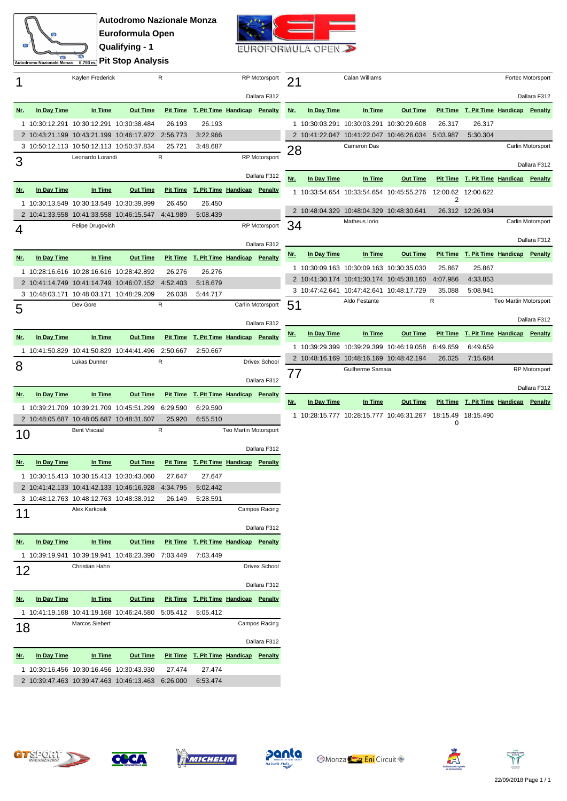

**Autodromo Nazionale Monza Euroformula Open Qualifying - 1 Pit Stop Analysis** 



|            |                                          | Kaylen Frederick    |                                                   | R         |                                       |                       | RP Motorsport        | 21             |             | Calan Williams                           |                 |               |                                       |                       | Fortec Motorsport    |
|------------|------------------------------------------|---------------------|---------------------------------------------------|-----------|---------------------------------------|-----------------------|----------------------|----------------|-------------|------------------------------------------|-----------------|---------------|---------------------------------------|-----------------------|----------------------|
|            |                                          |                     |                                                   |           |                                       |                       | Dallara F312         |                |             |                                          |                 |               |                                       |                       | Dallara F312         |
| <u>Nr.</u> | In Day Time                              | In Time             | <b>Out Time</b>                                   |           | Pit Time T. Pit Time Handicap Penalty |                       |                      | Nr.            | In Day Time | In Time                                  | <b>Out Time</b> |               | Pit Time T. Pit Time Handicap Penalty |                       |                      |
|            | 1 10:30:12.291 10:30:12.291 10:30:38.484 |                     |                                                   | 26.193    | 26.193                                |                       |                      |                |             | 1 10:30:03.291 10:30:03.291 10:30:29.608 |                 | 26.317        | 26.317                                |                       |                      |
|            |                                          |                     | 2 10:43:21.199 10:43:21.199 10:46:17.972          | 2:56.773  | 3:22.966                              |                       |                      |                |             | 2 10:41:22.047 10:41:22.047 10:46:26.034 |                 | 5:03.987      | 5:30.304                              |                       |                      |
|            | 3 10:50:12.113 10:50:12.113 10:50:37.834 |                     |                                                   | 25.721    | 3:48.687                              |                       |                      |                |             | Cameron Das                              |                 |               |                                       |                       | Carlin Motorsport    |
|            |                                          | Leonardo Lorandi    |                                                   | ${\sf R}$ |                                       |                       | <b>RP</b> Motorsport | 28             |             |                                          |                 |               |                                       |                       |                      |
| 3          |                                          |                     |                                                   |           |                                       |                       |                      |                |             |                                          |                 |               |                                       |                       | Dallara F312         |
|            |                                          |                     |                                                   |           |                                       |                       | Dallara F312         | <u>Nr.</u>     | In Day Time | In Time                                  | <b>Out Time</b> |               | Pit Time T. Pit Time Handicap Penalty |                       |                      |
| <u>Nr.</u> | In Day Time                              | In Time             | <b>Out Time</b>                                   |           | Pit Time T. Pit Time Handicap Penalty |                       |                      |                |             | 1 10:33:54.654 10:33:54.654 10:45:55.276 |                 |               | 12:00.62 12:00.622                    |                       |                      |
|            | 1 10:30:13.549 10:30:13.549 10:30:39.999 |                     |                                                   | 26.450    | 26.450                                |                       |                      |                |             |                                          |                 | 2             |                                       |                       |                      |
|            |                                          |                     | 2 10:41:33.558 10:41:33.558 10:46:15.547 4:41.989 |           | 5:08.439                              |                       |                      |                |             | 2 10:48:04.329 10:48:04.329 10:48:30.641 |                 |               | 26.312 12:26.934                      |                       |                      |
| 4          |                                          | Felipe Drugovich    |                                                   |           |                                       |                       | RP Motorsport        | 34             |             | Matheus Iorio                            |                 |               |                                       |                       | Carlin Motorsport    |
|            |                                          |                     |                                                   |           |                                       |                       |                      |                |             |                                          |                 |               |                                       |                       | Dallara F312         |
|            |                                          |                     |                                                   |           |                                       |                       | Dallara F312         | <u>Nr.</u>     | In Day Time | In Time                                  | <b>Out Time</b> |               | Pit Time T. Pit Time Handicap Penalty |                       |                      |
| <u>Nr.</u> | In Day Time                              | In Time             | <b>Out Time</b>                                   |           | Pit Time T. Pit Time Handicap Penalty |                       |                      |                |             |                                          |                 |               |                                       |                       |                      |
|            | 1 10:28:16.616 10:28:16.616 10:28:42.892 |                     |                                                   | 26.276    | 26.276                                |                       |                      |                |             | 1 10:30:09.163 10:30:09.163 10:30:35.030 |                 | 25.867        | 25.867                                |                       |                      |
|            |                                          |                     | 2 10:41:14.749 10:41:14.749 10:46:07.152          | 4:52.403  | 5:18.679                              |                       |                      |                |             | 2 10:41:30.174 10:41:30.174 10:45:38.160 |                 | 4:07.986      | 4:33.853                              |                       |                      |
|            | 3 10:48:03.171 10:48:03.171 10:48:29.209 |                     |                                                   | 26.038    | 5:44.717                              |                       |                      |                |             | 3 10:47:42.641 10:47:42.641 10:48:17.729 |                 | 35.088        | 5:08.941                              |                       |                      |
| 5          |                                          | Dev Gore            |                                                   | ${\sf R}$ |                                       |                       | Carlin Motorsport    | 51             |             | Aldo Festante                            |                 | R             |                                       | Teo Martin Motorsport |                      |
|            |                                          |                     |                                                   |           |                                       |                       |                      |                |             |                                          |                 |               |                                       |                       | Dallara F312         |
|            |                                          |                     |                                                   |           |                                       |                       | Dallara F312         |                |             | In Time                                  | <b>Out Time</b> |               |                                       |                       |                      |
| <u>Nr.</u> | In Day Time                              | In Time             | <b>Out Time</b>                                   |           | Pit Time T. Pit Time Handicap Penalty |                       |                      | <u>Nr.</u>     | In Day Time |                                          |                 |               | Pit Time T. Pit Time Handicap Penalty |                       |                      |
|            |                                          |                     | 1 10:41:50.829 10:41:50.829 10:44:41.496          | 2:50.667  | 2:50.667                              |                       |                      |                |             | 1 10:39:29.399 10:39:29.399 10:46:19.058 |                 | 6:49.659      | 6:49.659                              |                       |                      |
| 8          |                                          | Lukas Dunner        |                                                   | ${\sf R}$ |                                       |                       | <b>Drivex School</b> |                |             | 2 10:48:16.169 10:48:16.169 10:48:42.194 |                 | 26.025        | 7:15.684                              |                       |                      |
|            |                                          |                     |                                                   |           |                                       |                       |                      | $\prime\prime$ |             | Guilherme Samaia                         |                 |               |                                       |                       | <b>RP Motorsport</b> |
|            |                                          |                     |                                                   |           |                                       |                       | Dallara F312         |                |             |                                          |                 |               |                                       |                       | Dallara F312         |
| <u>Nr.</u> | In Day Time                              | In Time             | <b>Out Time</b>                                   |           | Pit Time T. Pit Time Handicap Penalty |                       |                      | <u>Nr.</u>     | In Day Time | In Time                                  | <b>Out Time</b> |               | Pit Time T. Pit Time Handicap Penalty |                       |                      |
|            | 1 10:39:21.709 10:39:21.709 10:45:51.299 |                     |                                                   | 6:29.590  | 6:29.590                              |                       |                      |                |             |                                          |                 |               |                                       |                       |                      |
|            | 2 10:48:05.687 10:48:05.687 10:48:31.607 |                     |                                                   | 25.920    | 6:55.510                              |                       |                      |                |             | 1 10:28:15.777 10:28:15.777 10:46:31.267 |                 | 18:15.49<br>0 | 18:15.490                             |                       |                      |
| 10         |                                          | <b>Bent Viscaal</b> |                                                   | ${\sf R}$ |                                       | Teo Martin Motorsport |                      |                |             |                                          |                 |               |                                       |                       |                      |
|            |                                          |                     |                                                   |           |                                       |                       | Dallara F312         |                |             |                                          |                 |               |                                       |                       |                      |
| <u>Nr.</u> | In Day Time                              | In Time             | <b>Out Time</b>                                   |           | Pit Time T. Pit Time Handicap Penalty |                       |                      |                |             |                                          |                 |               |                                       |                       |                      |
|            | 1 10:30:15.413 10:30:15.413 10:30:43.060 |                     |                                                   | 27.647    | 27.647                                |                       |                      |                |             |                                          |                 |               |                                       |                       |                      |
|            |                                          |                     | 2 10:41:42.133 10:41:42.133 10:46:16.928 4:34.795 |           | 5:02.442                              |                       |                      |                |             |                                          |                 |               |                                       |                       |                      |
|            | 3 10:48:12.763 10:48:12.763 10:48:38.912 |                     |                                                   | 26.149    | 5:28.591                              |                       |                      |                |             |                                          |                 |               |                                       |                       |                      |
|            |                                          | Alex Karkosik       |                                                   |           |                                       |                       | Campos Racing        |                |             |                                          |                 |               |                                       |                       |                      |
| 11         |                                          |                     |                                                   |           |                                       |                       |                      |                |             |                                          |                 |               |                                       |                       |                      |
|            |                                          |                     |                                                   |           |                                       |                       | Dallara F312         |                |             |                                          |                 |               |                                       |                       |                      |
| <u>Nr.</u> | In Day Time                              | In Time             | <b>Out Time</b>                                   |           | Pit Time T. Pit Time Handicap Penalty |                       |                      |                |             |                                          |                 |               |                                       |                       |                      |
|            |                                          |                     | 1 10:39:19.941 10:39:19.941 10:46:23.390          | 7:03.449  | 7:03.449                              |                       |                      |                |             |                                          |                 |               |                                       |                       |                      |
| 12         |                                          | Christian Hahn      |                                                   |           |                                       |                       | <b>Drivex School</b> |                |             |                                          |                 |               |                                       |                       |                      |
|            |                                          |                     |                                                   |           |                                       |                       |                      |                |             |                                          |                 |               |                                       |                       |                      |
|            |                                          |                     |                                                   |           |                                       |                       | Dallara F312         |                |             |                                          |                 |               |                                       |                       |                      |
| <u>Nr.</u> | In Day Time                              | In Time             | <b>Out Time</b>                                   |           | Pit Time T. Pit Time Handicap Penalty |                       |                      |                |             |                                          |                 |               |                                       |                       |                      |
|            |                                          |                     | 1 10:41:19.168 10:41:19.168 10:46:24.580          | 5:05.412  | 5:05.412                              |                       |                      |                |             |                                          |                 |               |                                       |                       |                      |
| 18         |                                          | Marcos Siebert      |                                                   |           |                                       |                       | Campos Racing        |                |             |                                          |                 |               |                                       |                       |                      |
|            |                                          |                     |                                                   |           |                                       |                       |                      |                |             |                                          |                 |               |                                       |                       |                      |
|            |                                          |                     |                                                   |           |                                       |                       | Dallara F312         |                |             |                                          |                 |               |                                       |                       |                      |
| <u>Nr.</u> | In Day Time                              | In Time             | <b>Out Time</b>                                   |           | Pit Time T. Pit Time Handicap Penalty |                       |                      |                |             |                                          |                 |               |                                       |                       |                      |
|            | 1 10:30:16.456 10:30:16.456 10:30:43.930 |                     |                                                   | 27.474    | 27.474                                |                       |                      |                |             |                                          |                 |               |                                       |                       |                      |
|            |                                          |                     | 2 10:39:47.463 10:39:47.463 10:46:13.463 6:26.000 |           | 6:53.474                              |                       |                      |                |             |                                          |                 |               |                                       |                       |                      |









**Monza Eni** Circuit